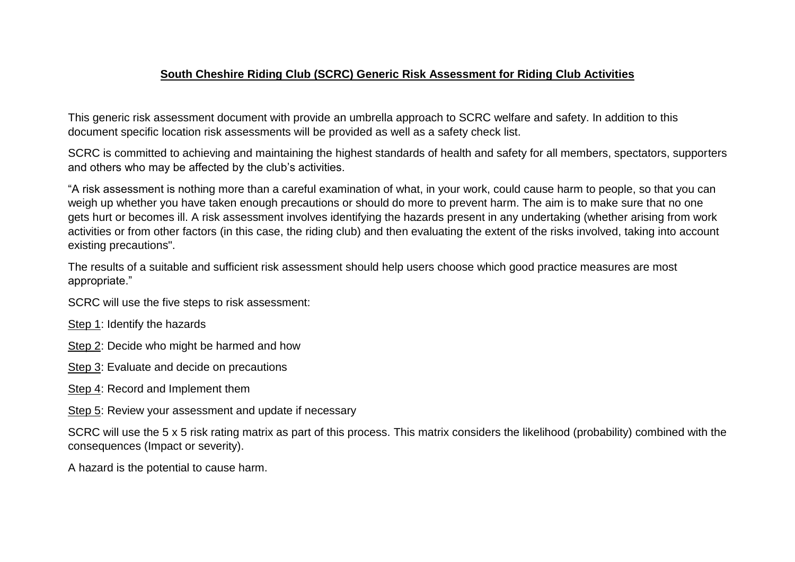## **South Cheshire Riding Club (SCRC) Generic Risk Assessment for Riding Club Activities**

This generic risk assessment document with provide an umbrella approach to SCRC welfare and safety. In addition to this document specific location risk assessments will be provided as well as a safety check list.

SCRC is committed to achieving and maintaining the highest standards of health and safety for all members, spectators, supporters and others who may be affected by the club's activities.

"A risk assessment is nothing more than a careful examination of what, in your work, could cause harm to people, so that you can weigh up whether you have taken enough precautions or should do more to prevent harm. The aim is to make sure that no one gets hurt or becomes ill. A risk assessment involves identifying the hazards present in any undertaking (whether arising from work activities or from other factors (in this case, the riding club) and then evaluating the extent of the risks involved, taking into account existing precautions".

The results of a suitable and sufficient risk assessment should help users choose which good practice measures are most appropriate."

SCRC will use the five steps to risk assessment:

Step 1: Identify the hazards

Step 2: Decide who might be harmed and how

Step 3: Evaluate and decide on precautions

Step 4: Record and Implement them

Step 5: Review your assessment and update if necessary

SCRC will use the 5 x 5 risk rating matrix as part of this process. This matrix considers the likelihood (probability) combined with the consequences (Impact or severity).

A hazard is the potential to cause harm.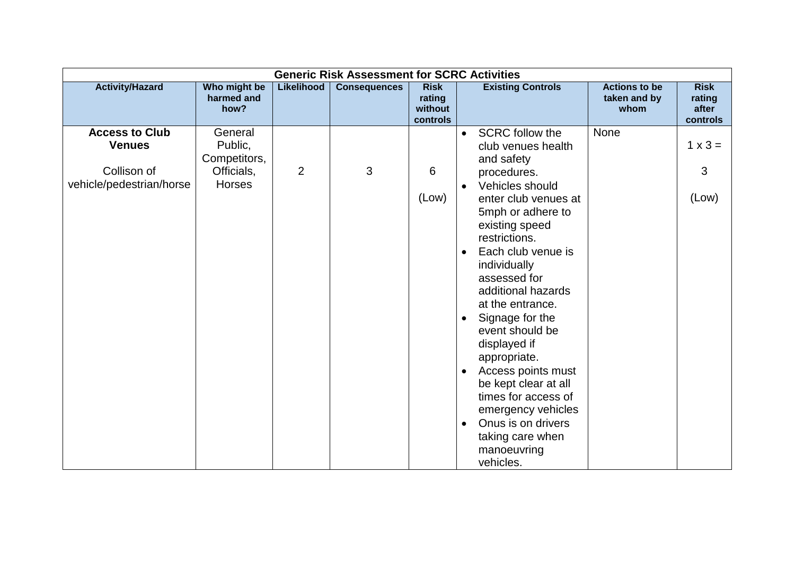|                          | <b>Generic Risk Assessment for SCRC Activities</b> |                |                     |                                              |                                     |                                              |                                            |  |  |  |  |
|--------------------------|----------------------------------------------------|----------------|---------------------|----------------------------------------------|-------------------------------------|----------------------------------------------|--------------------------------------------|--|--|--|--|
| <b>Activity/Hazard</b>   | Who might be<br>harmed and<br>how?                 | Likelihood     | <b>Consequences</b> | <b>Risk</b><br>rating<br>without<br>controls | <b>Existing Controls</b>            | <b>Actions to be</b><br>taken and by<br>whom | <b>Risk</b><br>rating<br>after<br>controls |  |  |  |  |
| <b>Access to Club</b>    | General                                            |                |                     |                                              | <b>SCRC</b> follow the<br>$\bullet$ | None                                         |                                            |  |  |  |  |
| <b>Venues</b>            | Public,                                            |                |                     |                                              | club venues health                  |                                              | $1 \times 3 =$                             |  |  |  |  |
|                          | Competitors,                                       |                |                     |                                              | and safety                          |                                              |                                            |  |  |  |  |
| Collison of              | Officials,                                         | $\overline{2}$ | 3                   | 6                                            | procedures.                         |                                              | 3                                          |  |  |  |  |
| vehicle/pedestrian/horse | Horses                                             |                |                     |                                              | Vehicles should<br>$\bullet$        |                                              |                                            |  |  |  |  |
|                          |                                                    |                |                     | (Low)                                        | enter club venues at                |                                              | (Low)                                      |  |  |  |  |
|                          |                                                    |                |                     |                                              | 5mph or adhere to                   |                                              |                                            |  |  |  |  |
|                          |                                                    |                |                     |                                              | existing speed                      |                                              |                                            |  |  |  |  |
|                          |                                                    |                |                     |                                              | restrictions.                       |                                              |                                            |  |  |  |  |
|                          |                                                    |                |                     |                                              | Each club venue is<br>$\bullet$     |                                              |                                            |  |  |  |  |
|                          |                                                    |                |                     |                                              | individually                        |                                              |                                            |  |  |  |  |
|                          |                                                    |                |                     |                                              | assessed for<br>additional hazards  |                                              |                                            |  |  |  |  |
|                          |                                                    |                |                     |                                              | at the entrance.                    |                                              |                                            |  |  |  |  |
|                          |                                                    |                |                     |                                              | Signage for the<br>$\bullet$        |                                              |                                            |  |  |  |  |
|                          |                                                    |                |                     |                                              | event should be                     |                                              |                                            |  |  |  |  |
|                          |                                                    |                |                     |                                              | displayed if                        |                                              |                                            |  |  |  |  |
|                          |                                                    |                |                     |                                              | appropriate.                        |                                              |                                            |  |  |  |  |
|                          |                                                    |                |                     |                                              | Access points must<br>$\bullet$     |                                              |                                            |  |  |  |  |
|                          |                                                    |                |                     |                                              | be kept clear at all                |                                              |                                            |  |  |  |  |
|                          |                                                    |                |                     |                                              | times for access of                 |                                              |                                            |  |  |  |  |
|                          |                                                    |                |                     |                                              | emergency vehicles                  |                                              |                                            |  |  |  |  |
|                          |                                                    |                |                     |                                              | Onus is on drivers<br>$\bullet$     |                                              |                                            |  |  |  |  |
|                          |                                                    |                |                     |                                              | taking care when                    |                                              |                                            |  |  |  |  |
|                          |                                                    |                |                     |                                              | manoeuvring                         |                                              |                                            |  |  |  |  |
|                          |                                                    |                |                     |                                              | vehicles.                           |                                              |                                            |  |  |  |  |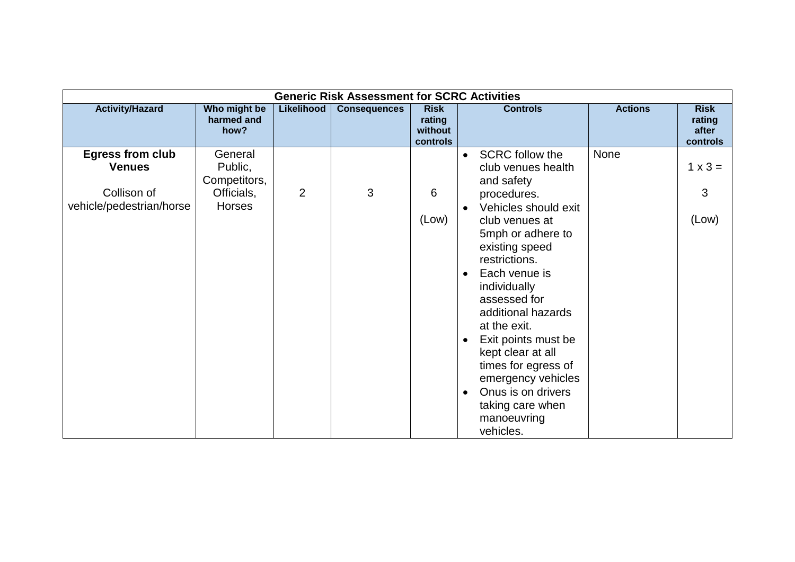|                                          | <b>Generic Risk Assessment for SCRC Activities</b> |            |                     |                                              |                                                                                                                                                                                                                                                                                                                                           |                |                                            |  |  |  |  |
|------------------------------------------|----------------------------------------------------|------------|---------------------|----------------------------------------------|-------------------------------------------------------------------------------------------------------------------------------------------------------------------------------------------------------------------------------------------------------------------------------------------------------------------------------------------|----------------|--------------------------------------------|--|--|--|--|
| <b>Activity/Hazard</b>                   | Who might be<br>harmed and<br>how?                 | Likelihood | <b>Consequences</b> | <b>Risk</b><br>rating<br>without<br>controls | <b>Controls</b>                                                                                                                                                                                                                                                                                                                           | <b>Actions</b> | <b>Risk</b><br>rating<br>after<br>controls |  |  |  |  |
| <b>Egress from club</b><br><b>Venues</b> | General<br>Public,<br>Competitors,                 |            |                     |                                              | <b>SCRC follow the</b><br>$\bullet$<br>club venues health<br>and safety                                                                                                                                                                                                                                                                   | None           | $1 \times 3 =$                             |  |  |  |  |
| Collison of<br>vehicle/pedestrian/horse  | Officials,<br>Horses                               | 2          | 3                   | 6                                            | procedures.<br>Vehicles should exit                                                                                                                                                                                                                                                                                                       |                | 3                                          |  |  |  |  |
|                                          |                                                    |            |                     | (Low)                                        | club venues at<br>5mph or adhere to<br>existing speed<br>restrictions.<br>Each venue is<br>individually<br>assessed for<br>additional hazards<br>at the exit.<br>Exit points must be<br>$\bullet$<br>kept clear at all<br>times for egress of<br>emergency vehicles<br>Onus is on drivers<br>taking care when<br>manoeuvring<br>vehicles. |                | (Low)                                      |  |  |  |  |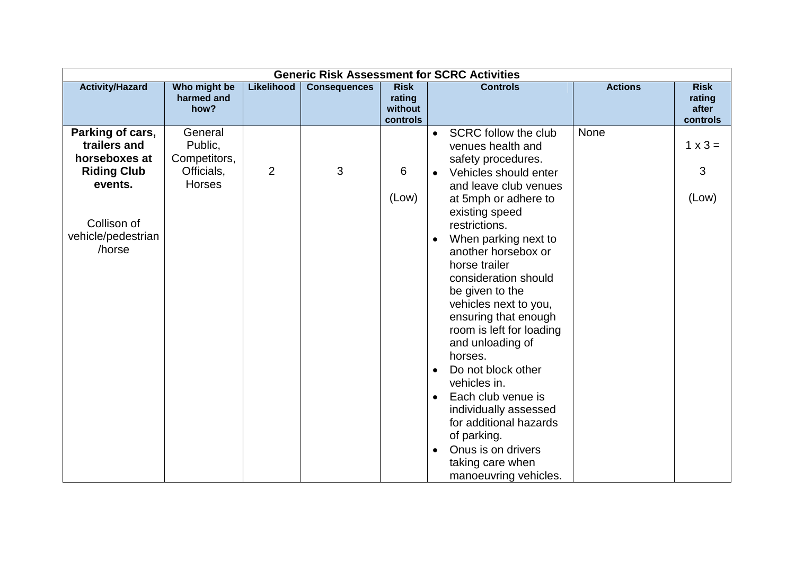|                                                                         | <b>Generic Risk Assessment for SCRC Activities</b> |                   |                     |                                              |                                                                                                                                                                                                                                                                                                                                                                                                                                                                                                                                                              |                |                                            |  |  |  |  |  |  |
|-------------------------------------------------------------------------|----------------------------------------------------|-------------------|---------------------|----------------------------------------------|--------------------------------------------------------------------------------------------------------------------------------------------------------------------------------------------------------------------------------------------------------------------------------------------------------------------------------------------------------------------------------------------------------------------------------------------------------------------------------------------------------------------------------------------------------------|----------------|--------------------------------------------|--|--|--|--|--|--|
| <b>Activity/Hazard</b>                                                  | Who might be<br>harmed and<br>how?                 | <b>Likelihood</b> | <b>Consequences</b> | <b>Risk</b><br>rating<br>without<br>controls | <b>Controls</b>                                                                                                                                                                                                                                                                                                                                                                                                                                                                                                                                              | <b>Actions</b> | <b>Risk</b><br>rating<br>after<br>controls |  |  |  |  |  |  |
| Parking of cars,<br>trailers and<br>horseboxes at<br><b>Riding Club</b> | General<br>Public,<br>Competitors,<br>Officials,   | $\overline{2}$    | 3                   | 6                                            | SCRC follow the club<br>$\bullet$<br>venues health and<br>safety procedures.<br>Vehicles should enter                                                                                                                                                                                                                                                                                                                                                                                                                                                        | None           | $1 \times 3 =$<br>3                        |  |  |  |  |  |  |
| events.<br>Collison of<br>vehicle/pedestrian<br>/horse                  | <b>Horses</b>                                      |                   |                     | (Low)                                        | and leave club venues<br>at 5mph or adhere to<br>existing speed<br>restrictions.<br>When parking next to<br>$\bullet$<br>another horsebox or<br>horse trailer<br>consideration should<br>be given to the<br>vehicles next to you,<br>ensuring that enough<br>room is left for loading<br>and unloading of<br>horses.<br>Do not block other<br>$\bullet$<br>vehicles in.<br>Each club venue is<br>$\bullet$<br>individually assessed<br>for additional hazards<br>of parking.<br>Onus is on drivers<br>$\bullet$<br>taking care when<br>manoeuvring vehicles. |                | (Low)                                      |  |  |  |  |  |  |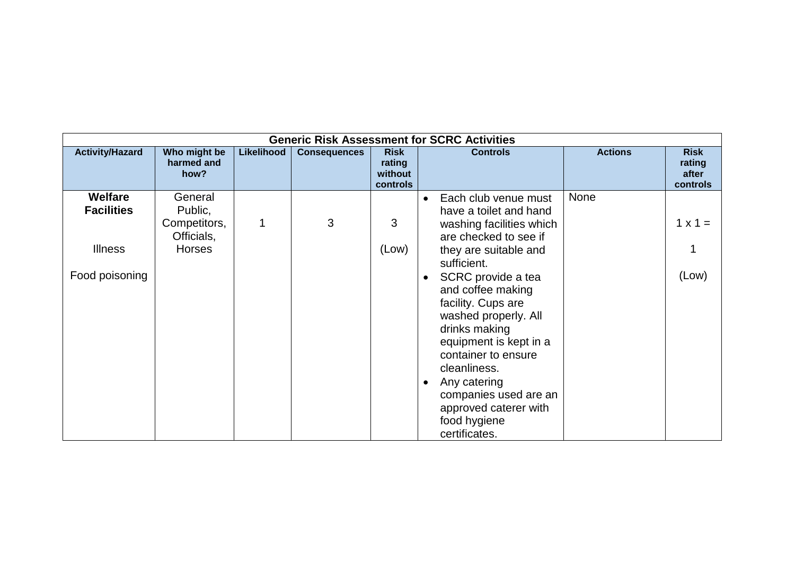|                                     |                                    |            |                     |                                              | <b>Generic Risk Assessment for SCRC Activities</b>                                                                                                                                                                                                                         |                                            |
|-------------------------------------|------------------------------------|------------|---------------------|----------------------------------------------|----------------------------------------------------------------------------------------------------------------------------------------------------------------------------------------------------------------------------------------------------------------------------|--------------------------------------------|
| <b>Activity/Hazard</b>              | Who might be<br>harmed and<br>how? | Likelihood | <b>Consequences</b> | <b>Risk</b><br>rating<br>without<br>controls | <b>Actions</b><br><b>Controls</b>                                                                                                                                                                                                                                          | <b>Risk</b><br>rating<br>after<br>controls |
| <b>Welfare</b><br><b>Facilities</b> | General<br>Public,                 |            |                     |                                              | <b>None</b><br>Each club venue must<br>have a toilet and hand                                                                                                                                                                                                              |                                            |
|                                     | Competitors,<br>Officials,         | 1          | 3                   | 3                                            | washing facilities which<br>are checked to see if                                                                                                                                                                                                                          | $1 \times 1 =$                             |
| <b>Illness</b>                      | <b>Horses</b>                      |            |                     | (Low)                                        | they are suitable and<br>sufficient.                                                                                                                                                                                                                                       |                                            |
| Food poisoning                      |                                    |            |                     |                                              | SCRC provide a tea<br>and coffee making<br>facility. Cups are<br>washed properly. All<br>drinks making<br>equipment is kept in a<br>container to ensure<br>cleanliness.<br>Any catering<br>companies used are an<br>approved caterer with<br>food hygiene<br>certificates. | (Low)                                      |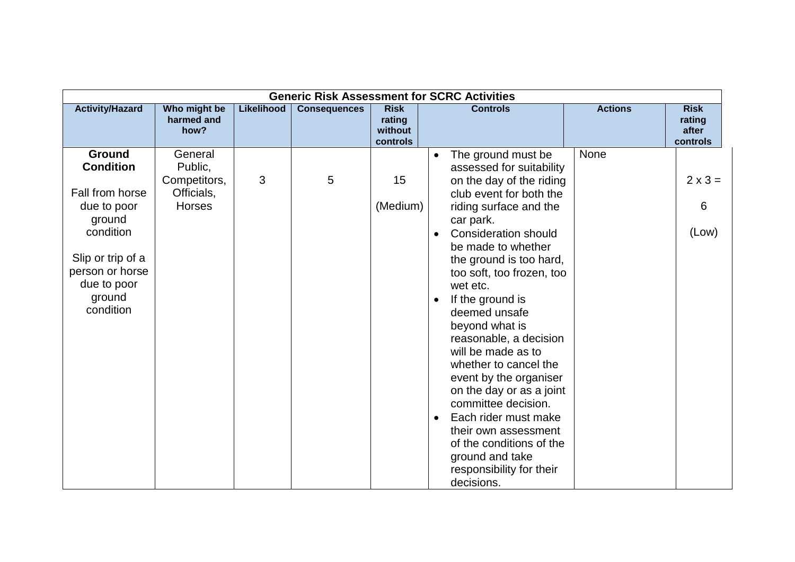| <b>Generic Risk Assessment for SCRC Activities</b>                                                                                                                       |                                                            |            |                     |                                              |                                                                                                                                                                                                                                                                                                                                                                                                                                                                                                                                                                                                                                                                    |                |                                            |  |  |  |  |
|--------------------------------------------------------------------------------------------------------------------------------------------------------------------------|------------------------------------------------------------|------------|---------------------|----------------------------------------------|--------------------------------------------------------------------------------------------------------------------------------------------------------------------------------------------------------------------------------------------------------------------------------------------------------------------------------------------------------------------------------------------------------------------------------------------------------------------------------------------------------------------------------------------------------------------------------------------------------------------------------------------------------------------|----------------|--------------------------------------------|--|--|--|--|
| <b>Activity/Hazard</b>                                                                                                                                                   | Who might be<br>harmed and<br>how?                         | Likelihood | <b>Consequences</b> | <b>Risk</b><br>rating<br>without<br>controls | <b>Controls</b>                                                                                                                                                                                                                                                                                                                                                                                                                                                                                                                                                                                                                                                    | <b>Actions</b> | <b>Risk</b><br>rating<br>after<br>controls |  |  |  |  |
| <b>Ground</b><br><b>Condition</b><br>Fall from horse<br>due to poor<br>ground<br>condition<br>Slip or trip of a<br>person or horse<br>due to poor<br>ground<br>condition | General<br>Public,<br>Competitors,<br>Officials,<br>Horses | 3          | 5                   | 15<br>(Medium)                               | The ground must be<br>$\bullet$<br>assessed for suitability<br>on the day of the riding<br>club event for both the<br>riding surface and the<br>car park.<br><b>Consideration should</b><br>be made to whether<br>the ground is too hard,<br>too soft, too frozen, too<br>wet etc.<br>If the ground is<br>$\bullet$<br>deemed unsafe<br>beyond what is<br>reasonable, a decision<br>will be made as to<br>whether to cancel the<br>event by the organiser<br>on the day or as a joint<br>committee decision.<br>Each rider must make<br>$\bullet$<br>their own assessment<br>of the conditions of the<br>ground and take<br>responsibility for their<br>decisions. | <b>None</b>    | $2 \times 3 =$<br>6<br>(Low)               |  |  |  |  |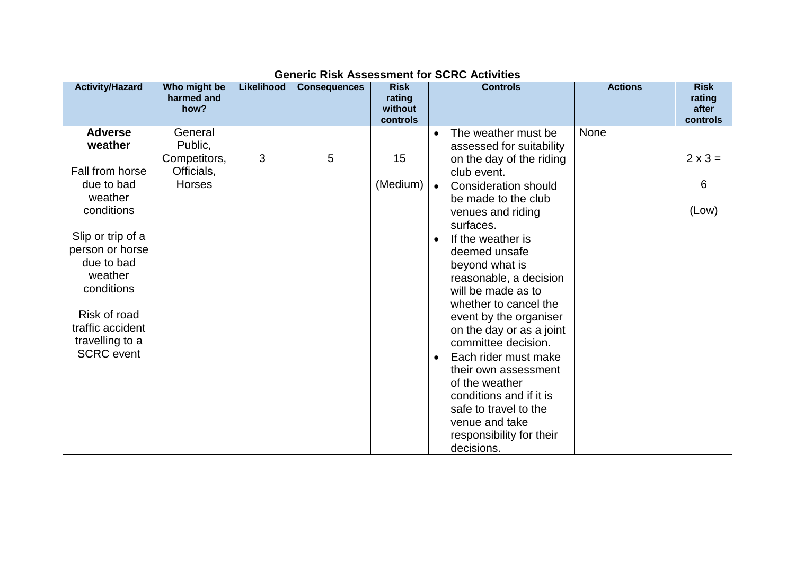| <b>Generic Risk Assessment for SCRC Activities</b>                                                                                                                                                                                             |                                                                   |                   |                     |                                              |                                                                                                                                                                                                                                                                                                                                                                                                                                                                                                                                                                                                                                   |                                            |  |  |  |  |  |  |
|------------------------------------------------------------------------------------------------------------------------------------------------------------------------------------------------------------------------------------------------|-------------------------------------------------------------------|-------------------|---------------------|----------------------------------------------|-----------------------------------------------------------------------------------------------------------------------------------------------------------------------------------------------------------------------------------------------------------------------------------------------------------------------------------------------------------------------------------------------------------------------------------------------------------------------------------------------------------------------------------------------------------------------------------------------------------------------------------|--------------------------------------------|--|--|--|--|--|--|
| <b>Activity/Hazard</b>                                                                                                                                                                                                                         | Who might be<br>harmed and<br>how?                                | <b>Likelihood</b> | <b>Consequences</b> | <b>Risk</b><br>rating<br>without<br>controls | <b>Actions</b><br><b>Controls</b>                                                                                                                                                                                                                                                                                                                                                                                                                                                                                                                                                                                                 | <b>Risk</b><br>rating<br>after<br>controls |  |  |  |  |  |  |
| <b>Adverse</b><br>weather<br>Fall from horse<br>due to bad<br>weather<br>conditions<br>Slip or trip of a<br>person or horse<br>due to bad<br>weather<br>conditions<br>Risk of road<br>traffic accident<br>travelling to a<br><b>SCRC</b> event | General<br>Public,<br>Competitors,<br>Officials,<br><b>Horses</b> | 3                 | 5                   | 15<br>(Medium)                               | None<br>The weather must be<br>$\bullet$<br>assessed for suitability<br>on the day of the riding<br>club event.<br><b>Consideration should</b><br>$\bullet$<br>be made to the club<br>venues and riding<br>surfaces.<br>If the weather is<br>deemed unsafe<br>beyond what is<br>reasonable, a decision<br>will be made as to<br>whether to cancel the<br>event by the organiser<br>on the day or as a joint<br>committee decision.<br>Each rider must make<br>$\bullet$<br>their own assessment<br>of the weather<br>conditions and if it is<br>safe to travel to the<br>venue and take<br>responsibility for their<br>decisions. | $2 \times 3 =$<br>6<br>(Low)               |  |  |  |  |  |  |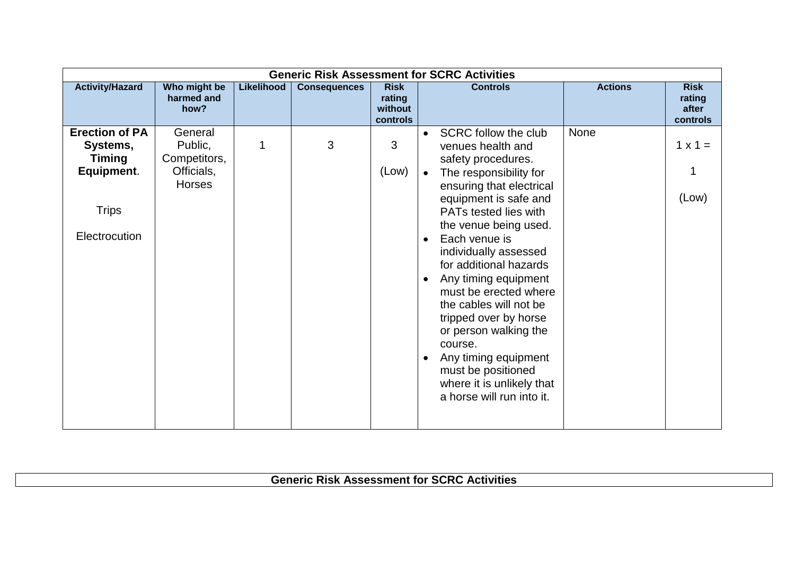|                                                                                                   | <b>Generic Risk Assessment for SCRC Activities</b>         |            |                     |                                              |                                                                                                                                                                                                                                                                                                                                                                                                                                                                                                                                                               |                                                              |  |  |  |  |  |  |  |
|---------------------------------------------------------------------------------------------------|------------------------------------------------------------|------------|---------------------|----------------------------------------------|---------------------------------------------------------------------------------------------------------------------------------------------------------------------------------------------------------------------------------------------------------------------------------------------------------------------------------------------------------------------------------------------------------------------------------------------------------------------------------------------------------------------------------------------------------------|--------------------------------------------------------------|--|--|--|--|--|--|--|
| <b>Activity/Hazard</b>                                                                            | Who might be<br>harmed and<br>how?                         | Likelihood | <b>Consequences</b> | <b>Risk</b><br>rating<br>without<br>controls | <b>Controls</b>                                                                                                                                                                                                                                                                                                                                                                                                                                                                                                                                               | <b>Actions</b><br><b>Risk</b><br>rating<br>after<br>controls |  |  |  |  |  |  |  |
| <b>Erection of PA</b><br>Systems,<br><b>Timing</b><br>Equipment.<br><b>Trips</b><br>Electrocution | General<br>Public,<br>Competitors,<br>Officials,<br>Horses | 1          | 3                   | 3<br>(Low)                                   | None<br><b>SCRC follow the club</b><br>$\bullet$<br>venues health and<br>safety procedures.<br>The responsibility for<br>ensuring that electrical<br>equipment is safe and<br>PATs tested lies with<br>the venue being used.<br>Each venue is<br>$\bullet$<br>individually assessed<br>for additional hazards<br>Any timing equipment<br>must be erected where<br>the cables will not be<br>tripped over by horse<br>or person walking the<br>course.<br>Any timing equipment<br>must be positioned<br>where it is unlikely that<br>a horse will run into it. | $1 \times 1 =$<br>(Low)                                      |  |  |  |  |  |  |  |

**Generic Risk Assessment for SCRC Activities**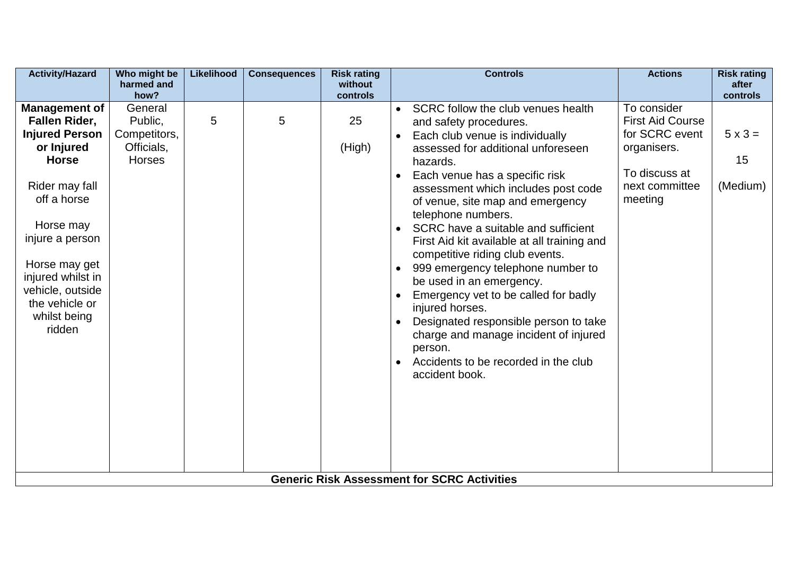| <b>Activity/Hazard</b>                                                                                                                                               | Who might be<br>harmed and                                                | <b>Likelihood</b> | <b>Consequences</b> | <b>Risk rating</b><br>without | <b>Controls</b>                                                                                                                                                                                                                                                                                                                                                                                                              | <b>Actions</b>                                                                                                        | <b>Risk rating</b><br>after                  |
|----------------------------------------------------------------------------------------------------------------------------------------------------------------------|---------------------------------------------------------------------------|-------------------|---------------------|-------------------------------|------------------------------------------------------------------------------------------------------------------------------------------------------------------------------------------------------------------------------------------------------------------------------------------------------------------------------------------------------------------------------------------------------------------------------|-----------------------------------------------------------------------------------------------------------------------|----------------------------------------------|
| <b>Management of</b><br><b>Fallen Rider,</b><br><b>Injured Person</b><br>or Injured<br><b>Horse</b><br>Rider may fall<br>off a horse<br>Horse may<br>injure a person | how?<br>General<br>Public,<br>Competitors,<br>Officials,<br><b>Horses</b> | 5                 | 5                   | controls<br>25<br>(High)      | SCRC follow the club venues health<br>and safety procedures.<br>Each club venue is individually<br>assessed for additional unforeseen<br>hazards.<br>Each venue has a specific risk<br>$\bullet$<br>assessment which includes post code<br>of venue, site map and emergency<br>telephone numbers.<br>SCRC have a suitable and sufficient<br>$\bullet$<br>First Aid kit available at all training and                         | To consider<br><b>First Aid Course</b><br>for SCRC event<br>organisers.<br>To discuss at<br>next committee<br>meeting | controls<br>$5 \times 3 =$<br>15<br>(Medium) |
| Horse may get<br>injured whilst in<br>vehicle, outside<br>the vehicle or<br>whilst being<br>ridden                                                                   |                                                                           |                   |                     |                               | competitive riding club events.<br>999 emergency telephone number to<br>$\bullet$<br>be used in an emergency.<br>Emergency vet to be called for badly<br>$\bullet$<br>injured horses.<br>Designated responsible person to take<br>$\bullet$<br>charge and manage incident of injured<br>person.<br>Accidents to be recorded in the club<br>$\bullet$<br>accident book.<br><b>Generic Risk Assessment for SCRC Activities</b> |                                                                                                                       |                                              |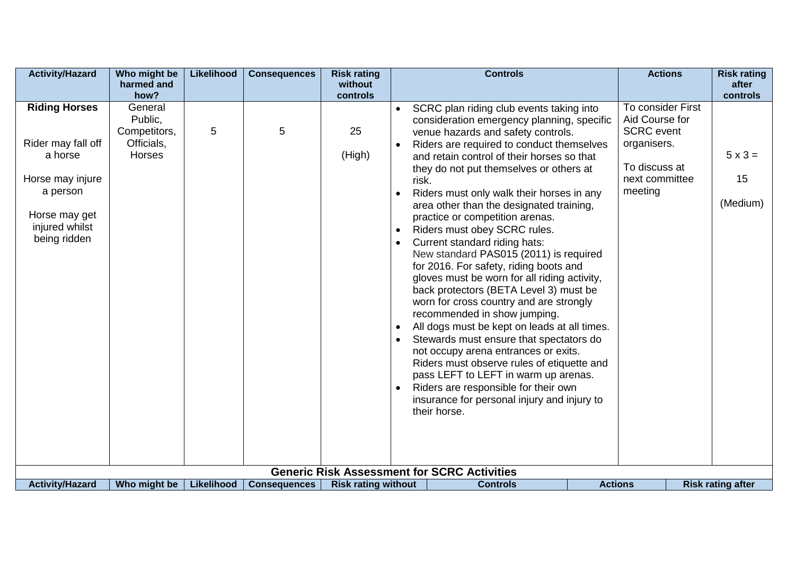| <b>Activity/Hazard</b>                                                                                                                   | Who might be<br>harmed and                                        | Likelihood | <b>Consequences</b> | <b>Risk rating</b><br>without |                                                                                     | <b>Controls</b>                                                                                                                                                                                                                                                                                                                                                                                                                                                                                                                                                                                                                                                                                                                                                                                                                                                                                                                                                                                                                                          | <b>Actions</b>                                                                                                        | <b>Risk rating</b><br>after      |
|------------------------------------------------------------------------------------------------------------------------------------------|-------------------------------------------------------------------|------------|---------------------|-------------------------------|-------------------------------------------------------------------------------------|----------------------------------------------------------------------------------------------------------------------------------------------------------------------------------------------------------------------------------------------------------------------------------------------------------------------------------------------------------------------------------------------------------------------------------------------------------------------------------------------------------------------------------------------------------------------------------------------------------------------------------------------------------------------------------------------------------------------------------------------------------------------------------------------------------------------------------------------------------------------------------------------------------------------------------------------------------------------------------------------------------------------------------------------------------|-----------------------------------------------------------------------------------------------------------------------|----------------------------------|
|                                                                                                                                          | how?                                                              |            |                     | controls                      |                                                                                     |                                                                                                                                                                                                                                                                                                                                                                                                                                                                                                                                                                                                                                                                                                                                                                                                                                                                                                                                                                                                                                                          |                                                                                                                       | controls                         |
| <b>Riding Horses</b><br>Rider may fall off<br>a horse<br>Horse may injure<br>a person<br>Horse may get<br>injured whilst<br>being ridden | General<br>Public,<br>Competitors,<br>Officials,<br><b>Horses</b> | 5          | 5                   | 25<br>(High)                  | risk.<br>$\bullet$<br>$\bullet$<br>$\bullet$<br>$\bullet$<br>$\bullet$<br>$\bullet$ | SCRC plan riding club events taking into<br>consideration emergency planning, specific<br>venue hazards and safety controls.<br>Riders are required to conduct themselves<br>and retain control of their horses so that<br>they do not put themselves or others at<br>Riders must only walk their horses in any<br>area other than the designated training,<br>practice or competition arenas.<br>Riders must obey SCRC rules.<br>Current standard riding hats:<br>New standard PAS015 (2011) is required<br>for 2016. For safety, riding boots and<br>gloves must be worn for all riding activity,<br>back protectors (BETA Level 3) must be<br>worn for cross country and are strongly<br>recommended in show jumping.<br>All dogs must be kept on leads at all times.<br>Stewards must ensure that spectators do<br>not occupy arena entrances or exits.<br>Riders must observe rules of etiquette and<br>pass LEFT to LEFT in warm up arenas.<br>Riders are responsible for their own<br>insurance for personal injury and injury to<br>their horse. | To consider First<br>Aid Course for<br><b>SCRC</b> event<br>organisers.<br>To discuss at<br>next committee<br>meeting | $5 \times 3 =$<br>15<br>(Medium) |
|                                                                                                                                          |                                                                   |            |                     |                               |                                                                                     | <b>Generic Risk Assessment for SCRC Activities</b>                                                                                                                                                                                                                                                                                                                                                                                                                                                                                                                                                                                                                                                                                                                                                                                                                                                                                                                                                                                                       |                                                                                                                       |                                  |
| <b>Activity/Hazard</b>                                                                                                                   | Who might be                                                      | Likelihood | <b>Consequences</b> | <b>Risk rating without</b>    |                                                                                     | <b>Controls</b>                                                                                                                                                                                                                                                                                                                                                                                                                                                                                                                                                                                                                                                                                                                                                                                                                                                                                                                                                                                                                                          | <b>Actions</b>                                                                                                        | <b>Risk rating after</b>         |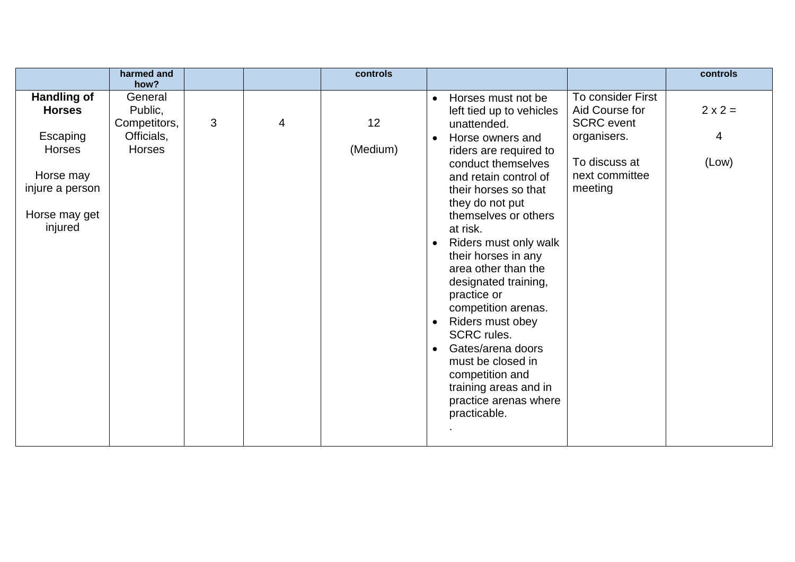|                                                                                                                       | harmed and                                                                |   |   | controls       |                                                                                                                                                                                                                                                                                                                                                                                                                                                                                                                                                                                                                                                                                                                      | controls                     |
|-----------------------------------------------------------------------------------------------------------------------|---------------------------------------------------------------------------|---|---|----------------|----------------------------------------------------------------------------------------------------------------------------------------------------------------------------------------------------------------------------------------------------------------------------------------------------------------------------------------------------------------------------------------------------------------------------------------------------------------------------------------------------------------------------------------------------------------------------------------------------------------------------------------------------------------------------------------------------------------------|------------------------------|
| <b>Handling of</b><br><b>Horses</b><br>Escaping<br>Horses<br>Horse may<br>injure a person<br>Horse may get<br>injured | how?<br>General<br>Public,<br>Competitors,<br>Officials,<br><b>Horses</b> | 3 | 4 | 12<br>(Medium) | To consider First<br>Horses must not be<br>$\bullet$<br>Aid Course for<br>left tied up to vehicles<br><b>SCRC</b> event<br>unattended.<br>organisers.<br>Horse owners and<br>riders are required to<br>To discuss at<br>conduct themselves<br>next committee<br>and retain control of<br>meeting<br>their horses so that<br>they do not put<br>themselves or others<br>at risk.<br>Riders must only walk<br>$\bullet$<br>their horses in any<br>area other than the<br>designated training,<br>practice or<br>competition arenas.<br>Riders must obey<br>$\bullet$<br><b>SCRC</b> rules.<br>Gates/arena doors<br>$\bullet$<br>must be closed in<br>competition and<br>training areas and in<br>practice arenas where | $2 \times 2 =$<br>4<br>(Low) |
|                                                                                                                       |                                                                           |   |   |                | practicable.                                                                                                                                                                                                                                                                                                                                                                                                                                                                                                                                                                                                                                                                                                         |                              |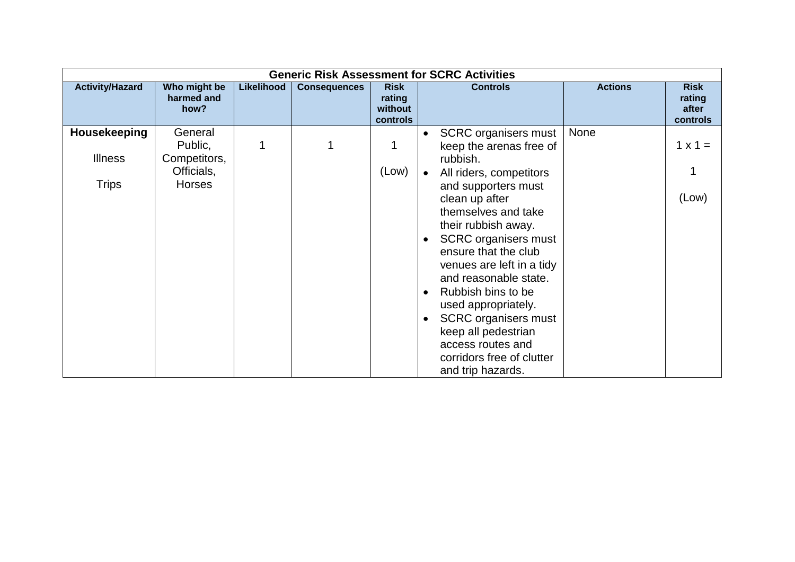|                        |                                    |            |                     |                                              | <b>Generic Risk Assessment for SCRC Activities</b>                                                                                                                                                                                                                                                                                                                         |                |                                            |
|------------------------|------------------------------------|------------|---------------------|----------------------------------------------|----------------------------------------------------------------------------------------------------------------------------------------------------------------------------------------------------------------------------------------------------------------------------------------------------------------------------------------------------------------------------|----------------|--------------------------------------------|
| <b>Activity/Hazard</b> | Who might be<br>harmed and<br>how? | Likelihood | <b>Consequences</b> | <b>Risk</b><br>rating<br>without<br>controls | <b>Controls</b>                                                                                                                                                                                                                                                                                                                                                            | <b>Actions</b> | <b>Risk</b><br>rating<br>after<br>controls |
| Housekeeping           | General<br>Public,                 | 1          |                     |                                              | <b>SCRC</b> organisers must<br>keep the arenas free of                                                                                                                                                                                                                                                                                                                     | None           | $1 \times 1 =$                             |
| <b>Illness</b>         | Competitors,<br>Officials,         |            |                     | (Low)                                        | rubbish.<br>All riders, competitors                                                                                                                                                                                                                                                                                                                                        |                |                                            |
| <b>Trips</b>           | <b>Horses</b>                      |            |                     |                                              | and supporters must<br>clean up after<br>themselves and take<br>their rubbish away.<br><b>SCRC</b> organisers must<br>ensure that the club<br>venues are left in a tidy<br>and reasonable state.<br>Rubbish bins to be<br>used appropriately.<br><b>SCRC</b> organisers must<br>keep all pedestrian<br>access routes and<br>corridors free of clutter<br>and trip hazards. |                | (Low)                                      |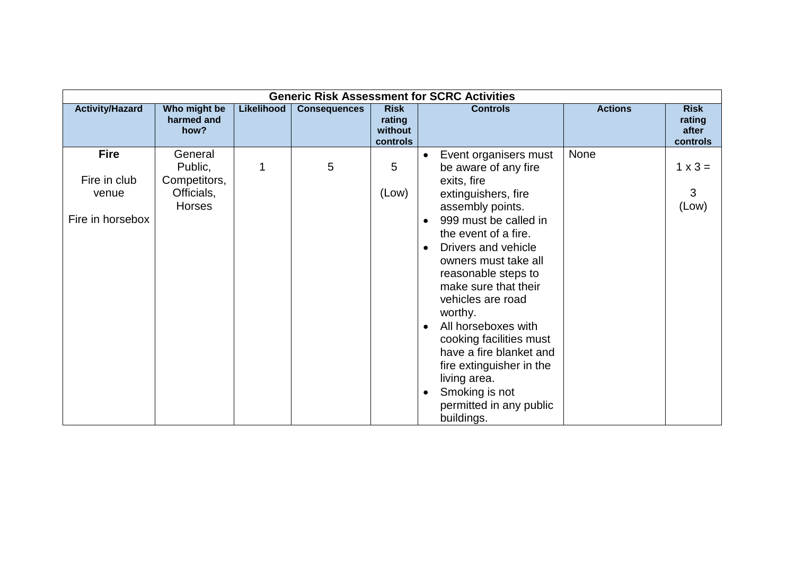| <b>Generic Risk Assessment for SCRC Activities</b>       |                                                                   |            |                     |                                              |                                                                                                                                                                                                                                                                                                                                                                                                                                                                                                              |                                            |  |  |  |  |  |  |
|----------------------------------------------------------|-------------------------------------------------------------------|------------|---------------------|----------------------------------------------|--------------------------------------------------------------------------------------------------------------------------------------------------------------------------------------------------------------------------------------------------------------------------------------------------------------------------------------------------------------------------------------------------------------------------------------------------------------------------------------------------------------|--------------------------------------------|--|--|--|--|--|--|
| <b>Activity/Hazard</b>                                   | Who might be<br>harmed and<br>how?                                | Likelihood | <b>Consequences</b> | <b>Risk</b><br>rating<br>without<br>controls | <b>Actions</b><br><b>Controls</b>                                                                                                                                                                                                                                                                                                                                                                                                                                                                            | <b>Risk</b><br>rating<br>after<br>controls |  |  |  |  |  |  |
| <b>Fire</b><br>Fire in club<br>venue<br>Fire in horsebox | General<br>Public,<br>Competitors,<br>Officials,<br><b>Horses</b> | 1          | 5                   | 5<br>(Low)                                   | None<br>Event organisers must<br>$\bullet$<br>be aware of any fire<br>exits, fire<br>extinguishers, fire<br>assembly points.<br>999 must be called in<br>the event of a fire.<br>Drivers and vehicle<br>$\bullet$<br>owners must take all<br>reasonable steps to<br>make sure that their<br>vehicles are road<br>worthy.<br>All horseboxes with<br>cooking facilities must<br>have a fire blanket and<br>fire extinguisher in the<br>living area.<br>Smoking is not<br>permitted in any public<br>buildings. | $1 \times 3 =$<br>3<br>(Low)               |  |  |  |  |  |  |